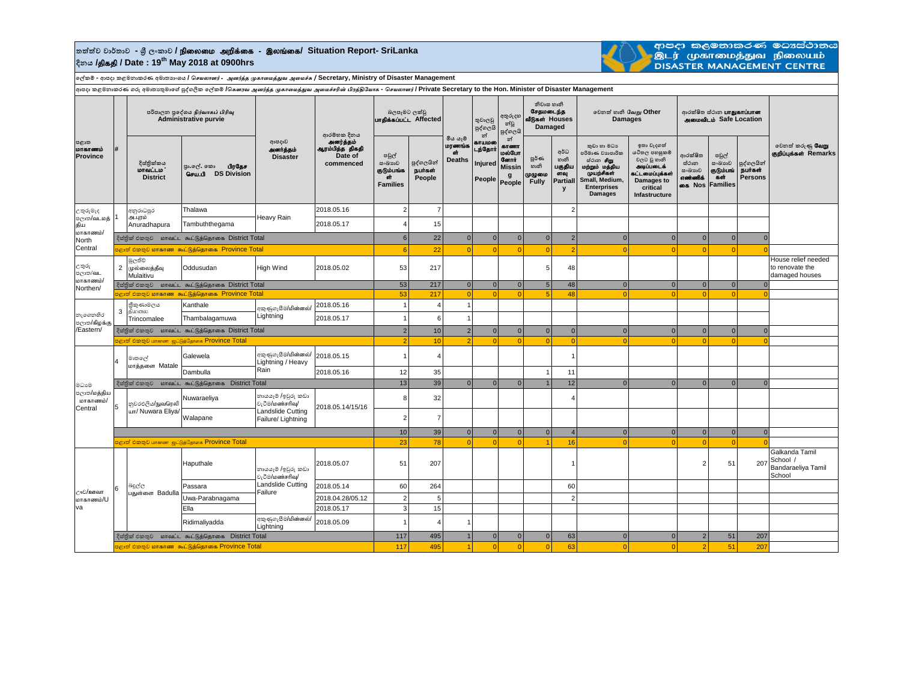## $\frac{1}{2}$ තත්ත්ව වාර්තාව - ශූී ලංකාව **/ நிலைமை அறிக்கை - இலங்கை/ Situation Report- SriLanka දිනය /**jpfjp **/ Date : 19th May 2018 at 0900hrs**



ආපදා කලමනාකරණ මධාස්ථානය<br>.இடர் முகாமைத்துவ நிலையம்<br>DISASTER MANAGEMENT CENTRE

**ලේකම් - ආපදා කළමනාකරණ අමාතයාංශය /** *செயலாளர்* - *அனர்த்த முகாமைத்துே அமைச்சு* **/ Secretary, Ministry of Disaster Management**

കാലകളുടെ കൊണ്ടുകൾ കൊണ്ടുകൾക്ക് കാര്യ പ്രക്ഷിക്കുന്നു. അവകാരം അവകാരം കൊണ്ടുകൾക്കാന് Private Secretary to the Hon. Minister of Disaster Management ( Private Secretary to the Hon. Minister of Disaster Management

|                                                               |                                                           |                                                                 | <sub>ਸ਼ਮ</sub> ∞⊙‴                                        |                                                                                  |                                              |                                                        |                                 |                                           |                                        |                                                                      |                                                      |                                                       |                                                                                                                                               |                                                                                                                        |                                                            |                                                        |                                         |                                                            |
|---------------------------------------------------------------|-----------------------------------------------------------|-----------------------------------------------------------------|-----------------------------------------------------------|----------------------------------------------------------------------------------|----------------------------------------------|--------------------------------------------------------|---------------------------------|-------------------------------------------|----------------------------------------|----------------------------------------------------------------------|------------------------------------------------------|-------------------------------------------------------|-----------------------------------------------------------------------------------------------------------------------------------------------|------------------------------------------------------------------------------------------------------------------------|------------------------------------------------------------|--------------------------------------------------------|-----------------------------------------|------------------------------------------------------------|
| පළාත<br>மாகாணம்<br><b>Province</b>                            |                                                           | පරිපාලන පුදේශය நிர்வாகப் பிரிவு<br><b>Administrative purvie</b> |                                                           |                                                                                  | ආරම්භක දිනය                                  | බලපෑමට ලක්වු<br>uralasuuLL Affected                    |                                 |                                           | තුවාලවු<br>පුද්ගලයි<br>න්              | අතුරුදහ<br>න්වූ<br>පුද්ගලයි                                          | නිවාස හානි<br>சேகமடைந்க<br>வீடுகள் Houses<br>Damaged |                                                       | වෙනත් හානි வேறு Other<br><b>Damages</b>                                                                                                       |                                                                                                                        | ආරක්ෂිත ස්ථාන <b>பாதுகாப்பான</b><br>அமைவிடம் Safe Location |                                                        |                                         |                                                            |
|                                                               |                                                           | දිස්තික්කය<br>மாவட்டம<br><b>District</b>                        | பிரகேச<br>පුා.ලල්. කො<br>செய.பி DS Division               | ආපදාව<br>அனர்த்தம்<br><b>Disaster</b>                                            | .<br>ஆரம்பித்த திகதி<br>Date of<br>commenced | පවුල්<br>සංඛාගව<br>குடும்பங்க<br>бŤ<br><b>Families</b> | පුද්ගලයින්<br>நபர்கள்<br>People | මිය යෑම<br>மரணங்க<br>ch.<br><b>Deaths</b> | காயமலை<br>டந்தோர்<br>Injured<br>People | න්<br>காணா<br>மல்போ<br><b>Germit</b><br><b>Missin</b><br>g<br>People | ల్లరి లా<br>හානි<br>முழுமை<br><b>Fully</b>           | අර්ධ<br>හානි<br>பகுதிய<br>ளவு<br><b>Partiall</b><br>y | කුඩා හා මධා<br>පරිමාණ වාාපාරික<br>ස්ථාන <b>சிறு</b><br>மற்றும் மத்திய<br>முயற்சிகள்<br>Small, Medium,<br><b>Enterprises</b><br><b>Damages</b> | ඉතා වැදගත්<br>යටිතල පහසුකම්<br>වලට වූ හානි<br>அடிப்படைக்<br>கட்டமைப்புக்கள்<br>Damages to<br>critical<br>Infastructure | ආරක්ෂිත<br>ස්ථාන<br>සංඛාහව<br>எண்ணிக்<br>கை Nos            | පවුල්<br>සංඛාගව<br>குடும்பங்<br>கள்<br><b>Families</b> | පුද්ගලයින්<br>நபர்கள்<br><b>Persons</b> | වෙනත් කරුණු <b>வேறு</b><br>குறிப்புக்கள் Remarks           |
| උතුරුමැද<br>පලාක/வ∟மத்<br>கிய<br>மாகாணம்/<br>North<br>Central |                                                           | අනුරාධපුර<br>அ.புரம்<br>Anuradhapura                            | Thalawa                                                   | Heavy Rain                                                                       | 2018.05.16                                   | $\overline{c}$                                         | 7                               |                                           |                                        |                                                                      |                                                      | 2                                                     |                                                                                                                                               |                                                                                                                        |                                                            |                                                        |                                         |                                                            |
|                                                               |                                                           |                                                                 | Tambuththegama                                            |                                                                                  | 2018.05.17                                   | 4                                                      | 15                              |                                           |                                        |                                                                      |                                                      |                                                       |                                                                                                                                               |                                                                                                                        |                                                            |                                                        |                                         |                                                            |
|                                                               |                                                           | දිස්තික් එකතුව மாவட்ட கூட்டுத்தொகை District Total               |                                                           |                                                                                  | $6 \overline{6}$                             | 22                                                     | $\mathbf{0}$                    | $\overline{0}$                            | $\overline{0}$                         | 0                                                                    | $\overline{2}$                                       | $\overline{0}$                                        | $\overline{0}$                                                                                                                                | $\Omega$                                                                                                               | $\overline{0}$                                             | $\Omega$                                               |                                         |                                                            |
|                                                               | ் அதில் அத்தி மாகாண கூட்டுத்தொகை Province Total           |                                                                 |                                                           |                                                                                  |                                              | 6                                                      | 22                              | $\Omega$                                  | $\Omega$                               | $\Omega$                                                             | $\Omega$                                             |                                                       | $\Omega$                                                                                                                                      | $\Omega$                                                                                                               |                                                            | $\overline{0}$                                         |                                         |                                                            |
| උතුරු<br>පලාක/வட<br>மாகாணம்/<br>Northen/                      |                                                           | මූලතිව<br>2 முல்லைத்தீவு<br>Mulaitivu                           | Oddusudan                                                 | High Wind                                                                        | 2018.05.02                                   | 53                                                     | 217                             |                                           |                                        |                                                                      | 5                                                    | 48                                                    |                                                                                                                                               |                                                                                                                        |                                                            |                                                        |                                         | House relief needed<br>to renovate the<br>damaged houses   |
|                                                               |                                                           | දිස්තික් එකතුව மாவட்ட கூட்டுத்தொகை District Total               |                                                           |                                                                                  |                                              | 53                                                     | 217                             | $\overline{0}$                            | 0                                      | $\mathbf{0}$                                                         | $5\overline{5}$                                      | 48                                                    | $\overline{0}$                                                                                                                                | $\overline{0}$                                                                                                         | $\overline{0}$                                             | 0                                                      | $\overline{0}$                          |                                                            |
|                                                               |                                                           |                                                                 | පළාත් එකතුව மாகாண கூட்டுத்தொகை Province Total             |                                                                                  |                                              | 53                                                     | 217                             | $\overline{0}$                            | $\Omega$                               | $\Omega$                                                             | 5 <sup>1</sup>                                       | 48                                                    | $\Omega$                                                                                                                                      | $\Omega$                                                                                                               | $\Omega$                                                   | $\Omega$                                               |                                         |                                                            |
| නැගෙනහිර<br>පලාත/கிழக்கு<br>/Eastern/                         |                                                           | තීකුණාමලය<br>3 கிமலை                                            | Kanthale                                                  | අකුණුගැසීම/மின்னல்/                                                              | 2018.05.16                                   | $\mathbf{1}$                                           |                                 |                                           |                                        |                                                                      |                                                      |                                                       |                                                                                                                                               |                                                                                                                        |                                                            |                                                        |                                         |                                                            |
|                                                               |                                                           | Trincomalee                                                     | Thambalagamuwa                                            | Lightning                                                                        | 2018.05.17                                   | $\mathbf{1}$                                           | 6                               |                                           |                                        |                                                                      |                                                      |                                                       |                                                                                                                                               |                                                                                                                        |                                                            |                                                        |                                         |                                                            |
|                                                               | දිස්තික් එකතුව மாவட்ட கூட்டுத்தொகை District Total         |                                                                 |                                                           |                                                                                  | $\overline{2}$                               | 10                                                     | 2 <sup>1</sup>                  | $\overline{0}$                            | $\mathbf{0}$                           | $\overline{0}$                                                       | $\overline{0}$                                       | $\overline{0}$                                        | $\overline{0}$                                                                                                                                | $\overline{0}$                                                                                                         | $\overline{0}$                                             | $\overline{0}$                                         |                                         |                                                            |
|                                                               |                                                           |                                                                 | <mark>පළාත් එකතුව மாகாண ஜட்டுத்தோகை Province Total</mark> |                                                                                  |                                              | $\overline{2}$                                         | 10                              | $\mathcal{D}$                             | $\Omega$                               | $\Omega$                                                             | $\Omega$                                             | $\Omega$                                              | $\Omega$                                                                                                                                      | $\Omega$                                                                                                               | -C                                                         | $\Omega$                                               |                                         |                                                            |
|                                                               | $\overline{4}$                                            | මාතලේ<br>மாத்தளை Matale                                         | Galewela                                                  | අකුණුගැසීම/மின்னல்/<br>Lightning / Heavy<br>Rain                                 | 2018.05.15                                   | $\mathbf{1}$                                           |                                 |                                           |                                        |                                                                      |                                                      |                                                       |                                                                                                                                               |                                                                                                                        |                                                            |                                                        |                                         |                                                            |
|                                                               |                                                           |                                                                 | Dambulla                                                  |                                                                                  | 2018.05.16                                   | 12                                                     | 35                              |                                           |                                        |                                                                      |                                                      | 11                                                    |                                                                                                                                               |                                                                                                                        |                                                            |                                                        |                                         |                                                            |
| මධාවෙ                                                         |                                                           |                                                                 | ஜேதினி சிறை மாவட்ட கூட்டுத்தொகை District Total            |                                                                                  |                                              | 13                                                     | 39                              | 0                                         | $\overline{0}$                         | $\Omega$                                                             | $\overline{1}$                                       | 12                                                    | $\overline{0}$                                                                                                                                | $\Omega$                                                                                                               | $\overline{0}$                                             | $\overline{0}$                                         | $\overline{0}$                          |                                                            |
| පලාක/மத்திய<br>மாகாணம்/<br>Central                            | 5                                                         | නුවරඑලිය/நுவரெலி<br>шп/ Nuwara Eliya/                           | Nuwaraeliya                                               | නායයැම් /ඉවුරු කඩා<br>වැටීම/மண்சரிவு/<br>Landslide Cutting<br>Failure/ Lightning | 2018.05.14/15/16                             | 8                                                      | 32                              |                                           |                                        |                                                                      |                                                      |                                                       |                                                                                                                                               |                                                                                                                        |                                                            |                                                        |                                         |                                                            |
|                                                               |                                                           |                                                                 | Walapane                                                  |                                                                                  |                                              | $\overline{2}$                                         |                                 |                                           |                                        |                                                                      |                                                      |                                                       |                                                                                                                                               |                                                                                                                        |                                                            |                                                        |                                         |                                                            |
|                                                               |                                                           |                                                                 |                                                           |                                                                                  |                                              |                                                        | 10<br>39                        | $\overline{0}$                            | $\overline{0}$                         | $\overline{0}$                                                       | 0                                                    | $\overline{\mathbf{A}}$                               | $\overline{0}$                                                                                                                                | $\overline{0}$                                                                                                         | $\overline{0}$                                             | 0                                                      | $\overline{0}$                          |                                                            |
|                                                               | <mark>පළාත් එකතුව மாகாண ஐட்டுத்தோகை Province Total</mark> |                                                                 |                                                           |                                                                                  |                                              | 23                                                     | 78                              | $\Omega$                                  | $\Omega$                               | $\Omega$                                                             |                                                      | 16                                                    |                                                                                                                                               |                                                                                                                        |                                                            | $\Omega$                                               |                                         |                                                            |
| ூಲ/ஊவா<br><b>U</b> \வ்ாகை ம<br>va                             | 6                                                         | බදුල්ල<br>பதுள்ளை Badulla                                       | Haputhale                                                 | නායයැම් /ඉවුරු කඩා<br>වැටීම/மண்சரிவு/<br>Landslide Cutting<br>Failure            | 2018.05.07                                   | 51                                                     | 207                             |                                           |                                        |                                                                      |                                                      |                                                       |                                                                                                                                               |                                                                                                                        | $\mathcal{P}$                                              | 51                                                     | 207                                     | Galkanda Tamil<br>School /<br>Bandaraeliya Tamil<br>School |
|                                                               |                                                           |                                                                 | Passara                                                   |                                                                                  | 2018.05.14                                   | 60                                                     | 264                             |                                           |                                        |                                                                      |                                                      | 60                                                    |                                                                                                                                               |                                                                                                                        |                                                            |                                                        |                                         |                                                            |
|                                                               |                                                           |                                                                 | Uwa-Parabnagama                                           |                                                                                  | 2018.04.28/05.12                             | $\overline{2}$                                         | 5                               |                                           |                                        |                                                                      |                                                      | $\overline{2}$                                        |                                                                                                                                               |                                                                                                                        |                                                            |                                                        |                                         |                                                            |
|                                                               |                                                           |                                                                 | Ella                                                      |                                                                                  | 2018.05.17                                   | $\overline{3}$                                         | 15                              |                                           |                                        |                                                                      |                                                      |                                                       |                                                                                                                                               |                                                                                                                        |                                                            |                                                        |                                         |                                                            |
|                                                               |                                                           |                                                                 | Ridimaliyadda                                             | අකුණුගැසීම/மின்னல்/<br>Lightning                                                 | 2018.05.09                                   | $\mathbf{1}$                                           |                                 |                                           |                                        |                                                                      |                                                      |                                                       |                                                                                                                                               |                                                                                                                        |                                                            |                                                        |                                         |                                                            |
|                                                               |                                                           |                                                                 | දිස්තුික් එකතුව மாவட்ட கூட்டுத்தொகை District Total        |                                                                                  |                                              | 117                                                    | 495                             |                                           | $\overline{0}$                         | $\mathbf 0$                                                          | $\mathbf{0}$                                         | 63                                                    | $\overline{0}$                                                                                                                                | $\overline{0}$                                                                                                         | $\overline{2}$                                             | 51                                                     | 207                                     |                                                            |
|                                                               | පළාත් එකතුව மாகாண கூட்டுத்தொகை Province Total             |                                                                 |                                                           |                                                                                  |                                              |                                                        | 495<br>117                      |                                           | $\Omega$                               | $\Omega$                                                             | $\Omega$                                             | 63                                                    | $\Omega$                                                                                                                                      | $\Omega$                                                                                                               | p                                                          | 51                                                     | 207                                     |                                                            |